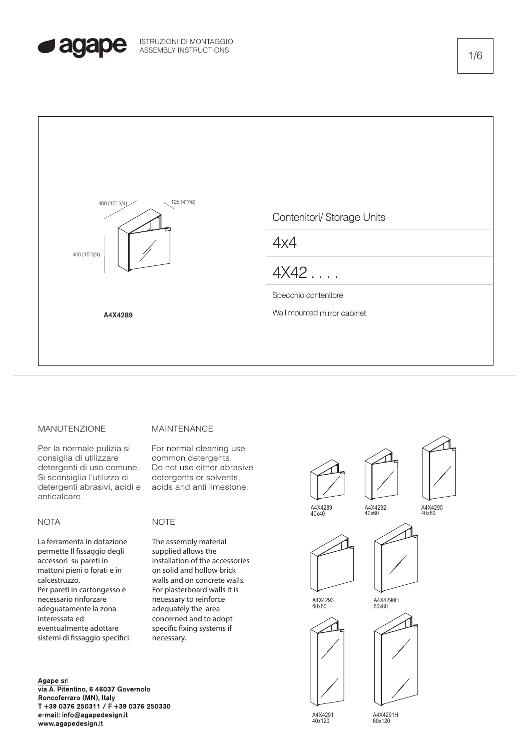



## MANUTENZIONE

Per la normale pulizia si consiglia di utilizzare detergenti di uso comune. Si sconsiglia l'utilizzo di detergenti abrasivi, acidi e anticalcare.

## **NOTA**

La ferramenta in dotazione permette Il fissaggio degli accessori su pareti in mattoni pieni o forati e in calcestruzzo. Per pareti in cartongesso è necessario rinforzare adeguatamente la zona interessata ed eventualmente adottare sistemi di fissaggio specifici.

#### Agape srl

via A. Pitentino, 6 46037 Governolo Roncoferraro (MN), Italy T +39 0376 250311 / F +39 0376 250330 e-mail: info@agapedesign.it www.agapedesign.it

## MAINTENANCE

For normal cleaning use common detergents. Do not use either abrasive detergents or solvents, acids and anti limestone.

# NOTE

The assembly material supplied allows the installation of the accessories on solid and hollow brick walls and on concrete walls. For plasterboard walls it is necessary to reinforce adequately the area concerned and to adopt specific fixing systems if necessary.



A4X4291 40x120

A4X4291H 60x120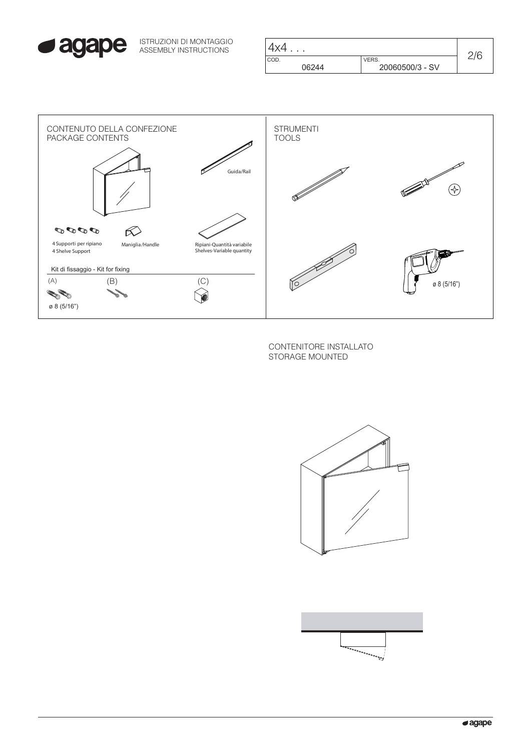

ISTRUZIONI DI MONTAGGIO ASSEMBLY INSTRUCTIONS

| 4x4   |                 | 7/6 |
|-------|-----------------|-----|
| COD.  | VERS.           |     |
| 06244 | 20060500/3 - SV |     |



CONTENITORE INSTALLATO STORAGE MOUNTED



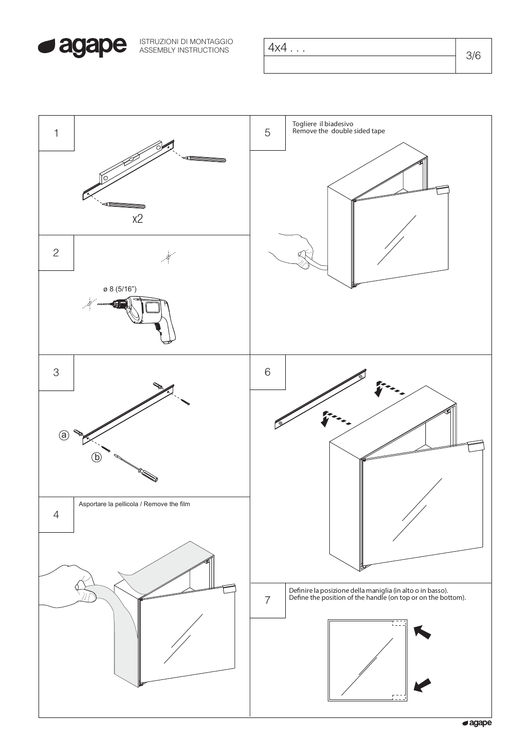

| ISTRUZIONI DI MONTAGGIO<br>ASSEMBLY INSTRUCTIONS | 4x4 | 216 |
|--------------------------------------------------|-----|-----|
|                                                  |     |     |

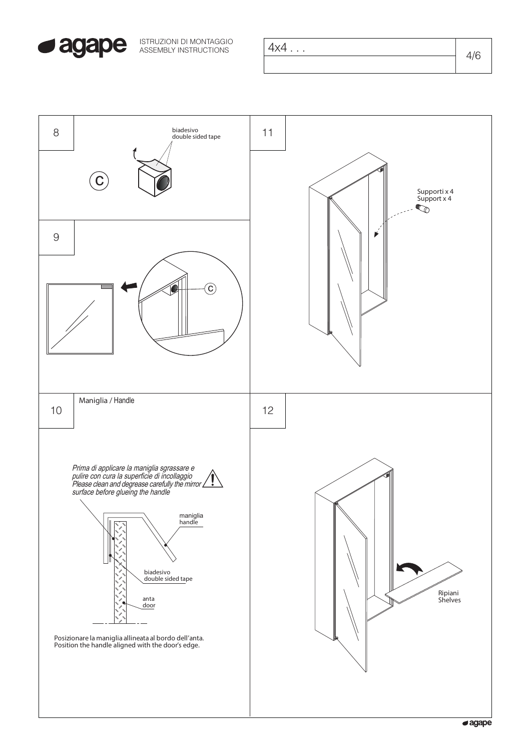

ISTRUZIONI DI MONTAGGIO ASSEMBLY INSTRUCTIONS

| 4x4 | 1/6  |
|-----|------|
|     | t/ U |

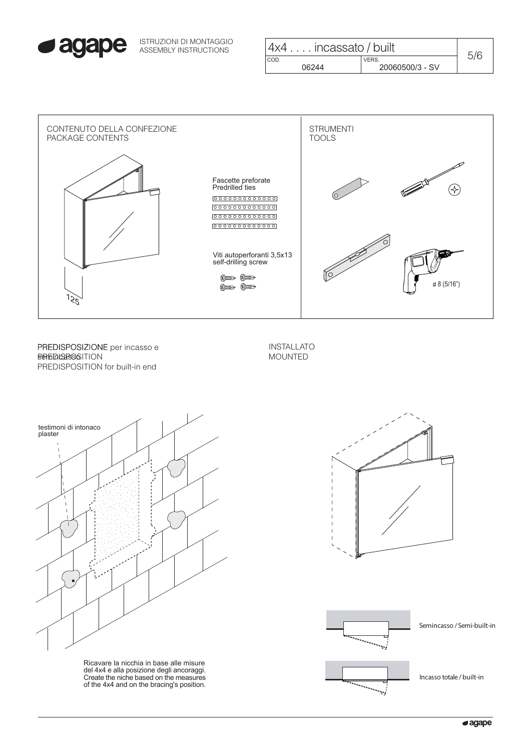

ISTRUZIONI DI MONTAGGIO ASSEMBLY INSTRUCTIONS

| $ 4x4 $ incassato / built |                 | 5/6 |
|---------------------------|-----------------|-----|
| I COD.                    | VERS.           |     |
| 06244                     | 20060500/3 - SV |     |



PREDISPOSIZIONE PREDISPOSIZIONE per incasso e **BehEDIGESOSITION** PREDISPOSITION for built-in end

INSTALLATO MOUNTED



Ricavare la nicchia in base alle misure del 4x4 e alla posizione degli ancoraggi. Create the niche based on the measures of the 4x4 and on the bracing's position.